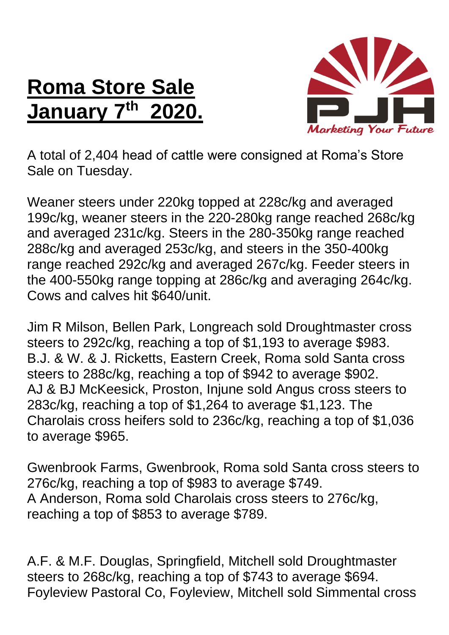## **Roma Store Sale January 7 th 2020.**



A total of 2,404 head of cattle were consigned at Roma's Store Sale on Tuesday.

Weaner steers under 220kg topped at 228c/kg and averaged 199c/kg, weaner steers in the 220-280kg range reached 268c/kg and averaged 231c/kg. Steers in the 280-350kg range reached 288c/kg and averaged 253c/kg, and steers in the 350-400kg range reached 292c/kg and averaged 267c/kg. Feeder steers in the 400-550kg range topping at 286c/kg and averaging 264c/kg. Cows and calves hit \$640/unit.

Jim R Milson, Bellen Park, Longreach sold Droughtmaster cross steers to 292c/kg, reaching a top of \$1,193 to average \$983. B.J. & W. & J. Ricketts, Eastern Creek, Roma sold Santa cross steers to 288c/kg, reaching a top of \$942 to average \$902. AJ & BJ McKeesick, Proston, Injune sold Angus cross steers to 283c/kg, reaching a top of \$1,264 to average \$1,123. The Charolais cross heifers sold to 236c/kg, reaching a top of \$1,036 to average \$965.

Gwenbrook Farms, Gwenbrook, Roma sold Santa cross steers to 276c/kg, reaching a top of \$983 to average \$749. A Anderson, Roma sold Charolais cross steers to 276c/kg, reaching a top of \$853 to average \$789.

A.F. & M.F. Douglas, Springfield, Mitchell sold Droughtmaster steers to 268c/kg, reaching a top of \$743 to average \$694. Foyleview Pastoral Co, Foyleview, Mitchell sold Simmental cross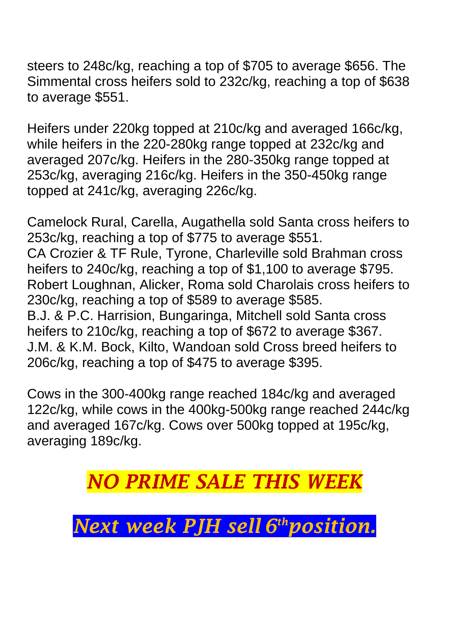steers to 248c/kg, reaching a top of \$705 to average \$656. The Simmental cross heifers sold to 232c/kg, reaching a top of \$638 to average \$551.

Heifers under 220kg topped at 210c/kg and averaged 166c/kg, while heifers in the 220-280kg range topped at 232c/kg and averaged 207c/kg. Heifers in the 280-350kg range topped at 253c/kg, averaging 216c/kg. Heifers in the 350-450kg range topped at 241c/kg, averaging 226c/kg.

Camelock Rural, Carella, Augathella sold Santa cross heifers to 253c/kg, reaching a top of \$775 to average \$551. CA Crozier & TF Rule, Tyrone, Charleville sold Brahman cross heifers to 240c/kg, reaching a top of \$1,100 to average \$795. Robert Loughnan, Alicker, Roma sold Charolais cross heifers to 230c/kg, reaching a top of \$589 to average \$585. B.J. & P.C. Harrision, Bungaringa, Mitchell sold Santa cross heifers to 210c/kg, reaching a top of \$672 to average \$367. J.M. & K.M. Bock, Kilto, Wandoan sold Cross breed heifers to 206c/kg, reaching a top of \$475 to average \$395.

Cows in the 300-400kg range reached 184c/kg and averaged 122c/kg, while cows in the 400kg-500kg range reached 244c/kg and averaged 167c/kg. Cows over 500kg topped at 195c/kg, averaging 189c/kg.

*NO PRIME SALE THIS WEE* 

*Next week PJH sell 6 thposition.*